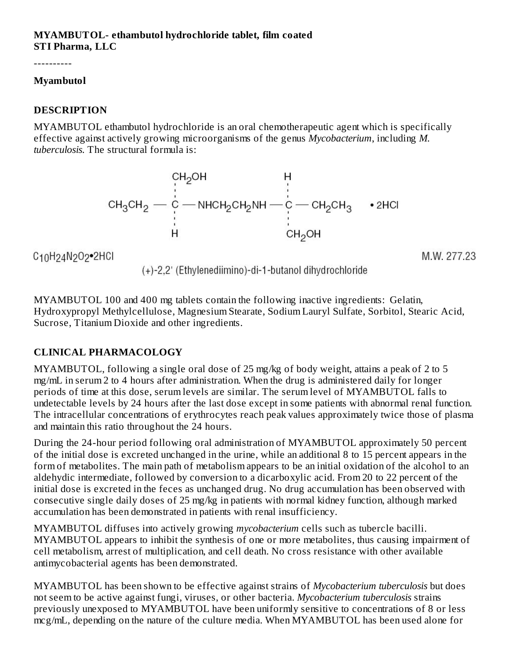#### **MYAMBUTOL- ethambutol hydrochloride tablet, film coated STI Pharma, LLC**

----------

#### **Myambutol**

#### **DESCRIPTION**

MYAMBUTOL ethambutol hydrochloride is an oral chemotherapeutic agent which is specifically effective against actively growing microorganisms of the genus *Mycobacterium*, including *M. tuberculosis.* The structural formula is:

$$
\text{CH}_{2}\text{OH}\underset{\text{i}}{\overset{\text{CH}_{2}\text{OH}}{\rightleftharpoons\text{NHCH}_{2}CH_{2}\text{NH}}\xrightarrow{\overset{\text{H}}{\rightleftharpoons\text{CH}_{2}CH_{3}}\xrightarrow{\overset{\text{H}}{\rightleftharpoons\text{CH}_{2}CH}}\xrightarrow{\overset{\text{H}}{\rightleftharpoons\text{CH}_{2}CH_{3}}\xrightarrow{\overset{\text{H}}{\rightleftharpoons\text{CH}_{2}CH_{3}}\xrightarrow{\overset{\text{H}}{\rightleftharpoons\text{CH}_{2}CH_{3}}\xrightarrow{\overset{\text{H}}{\rightleftharpoons\text{CH}_{2}CH_{3}}\xrightarrow{\overset{\text{H}}{\rightleftharpoons\text{CH}_{2}CH_{3}}\xrightarrow{\overset{\text{H}}{\rightleftharpoons\text{CH}_{2}CH_{3}}\xrightarrow{\overset{\text{H}}{\rightleftharpoons\text{CH}_{2}CH_{3}}\xrightarrow{\overset{\text{H}}{\rightleftharpoons\text{CH}_{2}CH_{3}}\xrightarrow{\overset{\text{H}}{\rightleftharpoons\text{CH}_{2}CH_{3}}\xrightarrow{\overset{\text{H}}{\rightleftharpoons\text{CH}_{2}CH_{3}}\xrightarrow{\overset{\text{H}}{\rightleftharpoons\text{CH}_{2}CH_{3}}\xrightarrow{\overset{\text{H}}{\rightleftharpoons\text{CH}_{2}CH_{3}}\xrightarrow{\overset{\text{H}}{\rightleftharpoons\text{CH}_{2}CH_{3}}\xrightarrow{\overset{\text{H}}{\rightleftharpoons\text{CH}_{2}CH_{3}}\xrightarrow{\overset{\text{H}}{\rightleftharpoons\text{CH}_{2}CH_{3}}\xrightarrow{\overset{\text{H}}{\rightleftharpoons\text{CH}_{2}CH_{3}}\xrightarrow{\overset{\text{H}}{\rightleftharpoons\text{CH}_{2}CH_{3}}\xrightarrow{\overset{\text{H}}{\rightleftharpoons\text{CH}_{2}CH_{3}}\xrightarrow{\overset{\text{H}}{\rightleftharpoons\text{CH}_{2}CH_{3}}\xrightarrow{\overset{\text{H}}{\rightleftharpoons\text{CH}_{2}CH_{3}}\xrightarrow{\overset{\text{H}}{\rightleftharpoons\text{CH}_{2}CH_{3}}\xrightarrow{\overset{\text{H}}{\rightleftharpoons\text{CH}_{2}CH_{3}}\xrightarrow{\overset{\text{H}}{\rightleftharpoons\text{CH}_{2}CH_{3}}\xrightarrow{\overset{\text
$$

C<sub>10</sub>H<sub>24</sub>N<sub>2</sub>O<sub>2</sub>•2HCl

(+)-2.2' (Ethylenediimino)-di-1-butanol dihydrochloride

M.W. 277.23

MYAMBUTOL 100 and 400 mg tablets contain the following inactive ingredients: Gelatin, Hydroxypropyl Methylcellulose, Magnesium Stearate, Sodium Lauryl Sulfate, Sorbitol, Stearic Acid, Sucrose, Titanium Dioxide and other ingredients.

## **CLINICAL PHARMACOLOGY**

MYAMBUTOL, following a single oral dose of 25 mg/kg of body weight, attains a peak of 2 to 5 mg/mL in serum 2 to 4 hours after administration. When the drug is administered daily for longer periods of time at this dose, serum levels are similar. The serum level of MYAMBUTOL falls to undetectable levels by 24 hours after the last dose except in some patients with abnormal renal function. The intracellular concentrations of erythrocytes reach peak values approximately twice those of plasma and maintain this ratio throughout the 24 hours.

During the 24-hour period following oral administration of MYAMBUTOL approximately 50 percent of the initial dose is excreted unchanged in the urine, while an additional 8 to 15 percent appears in the form of metabolites. The main path of metabolism appears to be an initial oxidation of the alcohol to an aldehydic intermediate, followed by conversion to a dicarboxylic acid. From 20 to 22 percent of the initial dose is excreted in the feces as unchanged drug. No drug accumulation has been observed with consecutive single daily doses of 25 mg/kg in patients with normal kidney function, although marked accumulation has been demonstrated in patients with renal insufficiency.

MYAMBUTOL diffuses into actively growing *mycobacterium* cells such as tubercle bacilli. MYAMBUTOL appears to inhibit the synthesis of one or more metabolites, thus causing impairment of cell metabolism, arrest of multiplication, and cell death. No cross resistance with other available antimycobacterial agents has been demonstrated.

MYAMBUTOL has been shown to be effective against strains of *Mycobacterium tuberculosis* but does not seem to be active against fungi, viruses, or other bacteria. *Mycobacterium tuberculosis* strains previously unexposed to MYAMBUTOL have been uniformly sensitive to concentrations of 8 or less mcg/mL, depending on the nature of the culture media. When MYAMBUTOL has been used alone for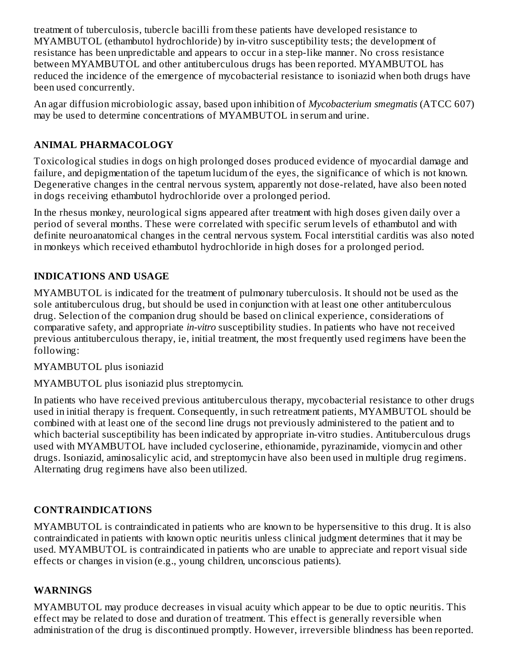treatment of tuberculosis, tubercle bacilli from these patients have developed resistance to MYAMBUTOL (ethambutol hydrochloride) by in-vitro susceptibility tests; the development of resistance has been unpredictable and appears to occur in a step-like manner. No cross resistance between MYAMBUTOL and other antituberculous drugs has been reported. MYAMBUTOL has reduced the incidence of the emergence of mycobacterial resistance to isoniazid when both drugs have been used concurrently.

An agar diffusion microbiologic assay, based upon inhibition of *Mycobacterium smegmatis* (ATCC 607) may be used to determine concentrations of MYAMBUTOL in serum and urine.

# **ANIMAL PHARMACOLOGY**

Toxicological studies in dogs on high prolonged doses produced evidence of myocardial damage and failure, and depigmentation of the tapetum lucidum of the eyes, the significance of which is not known. Degenerative changes in the central nervous system, apparently not dose-related, have also been noted in dogs receiving ethambutol hydrochloride over a prolonged period.

In the rhesus monkey, neurological signs appeared after treatment with high doses given daily over a period of several months. These were correlated with specific serum levels of ethambutol and with definite neuroanatomical changes in the central nervous system. Focal interstitial carditis was also noted in monkeys which received ethambutol hydrochloride in high doses for a prolonged period.

# **INDICATIONS AND USAGE**

MYAMBUTOL is indicated for the treatment of pulmonary tuberculosis. It should not be used as the sole antituberculous drug, but should be used in conjunction with at least one other antituberculous drug. Selection of the companion drug should be based on clinical experience, considerations of comparative safety, and appropriate *in-vitro* susceptibility studies. In patients who have not received previous antituberculous therapy, ie, initial treatment, the most frequently used regimens have been the following:

## MYAMBUTOL plus isoniazid

## MYAMBUTOL plus isoniazid plus streptomycin.

In patients who have received previous antituberculous therapy, mycobacterial resistance to other drugs used in initial therapy is frequent. Consequently, in such retreatment patients, MYAMBUTOL should be combined with at least one of the second line drugs not previously administered to the patient and to which bacterial susceptibility has been indicated by appropriate in-vitro studies. Antituberculous drugs used with MYAMBUTOL have included cycloserine, ethionamide, pyrazinamide, viomycin and other drugs. Isoniazid, aminosalicylic acid, and streptomycin have also been used in multiple drug regimens. Alternating drug regimens have also been utilized.

## **CONTRAINDICATIONS**

MYAMBUTOL is contraindicated in patients who are known to be hypersensitive to this drug. It is also contraindicated in patients with known optic neuritis unless clinical judgment determines that it may be used. MYAMBUTOL is contraindicated in patients who are unable to appreciate and report visual side effects or changes in vision (e.g., young children, unconscious patients).

## **WARNINGS**

MYAMBUTOL may produce decreases in visual acuity which appear to be due to optic neuritis. This effect may be related to dose and duration of treatment. This effect is generally reversible when administration of the drug is discontinued promptly. However, irreversible blindness has been reported.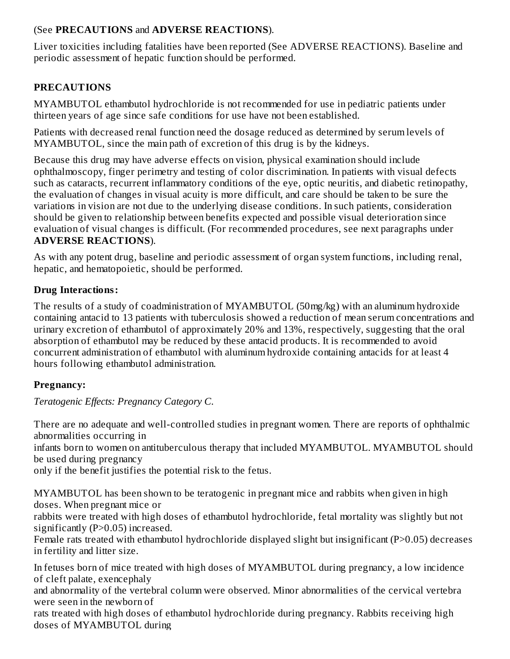# (See **PRECAUTIONS** and **ADVERSE REACTIONS**).

Liver toxicities including fatalities have been reported (See ADVERSE REACTIONS). Baseline and periodic assessment of hepatic function should be performed.

# **PRECAUTIONS**

MYAMBUTOL ethambutol hydrochloride is not recommended for use in pediatric patients under thirteen years of age since safe conditions for use have not been established.

Patients with decreased renal function need the dosage reduced as determined by serum levels of MYAMBUTOL, since the main path of excretion of this drug is by the kidneys.

Because this drug may have adverse effects on vision, physical examination should include ophthalmoscopy, finger perimetry and testing of color discrimination. In patients with visual defects such as cataracts, recurrent inflammatory conditions of the eye, optic neuritis, and diabetic retinopathy, the evaluation of changes in visual acuity is more difficult, and care should be taken to be sure the variations in vision are not due to the underlying disease conditions. In such patients, consideration should be given to relationship between benefits expected and possible visual deterioration since evaluation of visual changes is difficult. (For recommended procedures, see next paragraphs under **ADVERSE REACTIONS**).

As with any potent drug, baseline and periodic assessment of organ system functions, including renal, hepatic, and hematopoietic, should be performed.

# **Drug Interactions:**

The results of a study of coadministration of MYAMBUTOL (50mg/kg) with an aluminum hydroxide containing antacid to 13 patients with tuberculosis showed a reduction of mean serum concentrations and urinary excretion of ethambutol of approximately 20% and 13%, respectively, suggesting that the oral absorption of ethambutol may be reduced by these antacid products. It is recommended to avoid concurrent administration of ethambutol with aluminum hydroxide containing antacids for at least 4 hours following ethambutol administration.

# **Pregnancy:**

*Teratogenic Effects: Pregnancy Category C.*

There are no adequate and well-controlled studies in pregnant women. There are reports of ophthalmic abnormalities occurring in

infants born to women on antituberculous therapy that included MYAMBUTOL. MYAMBUTOL should be used during pregnancy

only if the benefit justifies the potential risk to the fetus.

MYAMBUTOL has been shown to be teratogenic in pregnant mice and rabbits when given in high doses. When pregnant mice or

rabbits were treated with high doses of ethambutol hydrochloride, fetal mortality was slightly but not significantly (P>0.05) increased.

Female rats treated with ethambutol hydrochloride displayed slight but insignificant (P>0.05) decreases in fertility and litter size.

In fetuses born of mice treated with high doses of MYAMBUTOL during pregnancy, a low incidence of cleft palate, exencephaly

and abnormality of the vertebral column were observed. Minor abnormalities of the cervical vertebra were seen in the newborn of

rats treated with high doses of ethambutol hydrochloride during pregnancy. Rabbits receiving high doses of MYAMBUTOL during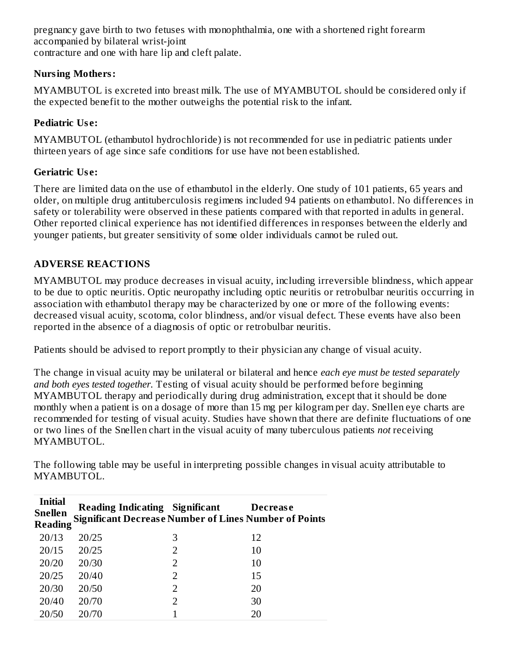pregnancy gave birth to two fetuses with monophthalmia, one with a shortened right forearm accompanied by bilateral wrist-joint contracture and one with hare lip and cleft palate.

# **Nursing Mothers:**

MYAMBUTOL is excreted into breast milk. The use of MYAMBUTOL should be considered only if the expected benefit to the mother outweighs the potential risk to the infant.

# **Pediatric Us e:**

MYAMBUTOL (ethambutol hydrochloride) is not recommended for use in pediatric patients under thirteen years of age since safe conditions for use have not been established.

# **Geriatric Us e:**

There are limited data on the use of ethambutol in the elderly. One study of 101 patients, 65 years and older, on multiple drug antituberculosis regimens included 94 patients on ethambutol. No differences in safety or tolerability were observed in these patients compared with that reported in adults in general. Other reported clinical experience has not identified differences in responses between the elderly and younger patients, but greater sensitivity of some older individuals cannot be ruled out.

# **ADVERSE REACTIONS**

MYAMBUTOL may produce decreases in visual acuity, including irreversible blindness, which appear to be due to optic neuritis. Optic neuropathy including optic neuritis or retrobulbar neuritis occurring in association with ethambutol therapy may be characterized by one or more of the following events: decreased visual acuity, scotoma, color blindness, and/or visual defect. These events have also been reported in the absence of a diagnosis of optic or retrobulbar neuritis.

Patients should be advised to report promptly to their physician any change of visual acuity.

The change in visual acuity may be unilateral or bilateral and hence *each eye must be tested separately and both eyes tested together.* Testing of visual acuity should be performed before beginning MYAMBUTOL therapy and periodically during drug administration, except that it should be done monthly when a patient is on a dosage of more than 15 mg per kilogram per day. Snellen eye charts are recommended for testing of visual acuity. Studies have shown that there are definite fluctuations of one or two lines of the Snellen chart in the visual acuity of many tuberculous patients *not* receiving MYAMBUTOL.

| The following table may be useful in interpreting possible changes in visual acuity attributable to |
|-----------------------------------------------------------------------------------------------------|
| MYAMBUTOL.                                                                                          |
|                                                                                                     |

| <b>Initial</b><br><b>Snellen</b><br><b>Reading</b> |       | <b>Reading Indicating Significant</b> | <b>Decrease</b><br><b>Significant Decrease Number of Lines Number of Points</b> |
|----------------------------------------------------|-------|---------------------------------------|---------------------------------------------------------------------------------|
| 20/13                                              | 20/25 | З                                     | 12                                                                              |
| 20/15                                              | 20/25 | 2                                     | 10                                                                              |
| 20/20                                              | 20/30 | 2                                     | 10                                                                              |
| 20/25                                              | 20/40 | $\mathcal{P}$                         | 15                                                                              |
| 20/30                                              | 20/50 | 2                                     | 20                                                                              |
| 20/40                                              | 20/70 | 2                                     | 30                                                                              |
| 20/50                                              | 20/70 |                                       | 20                                                                              |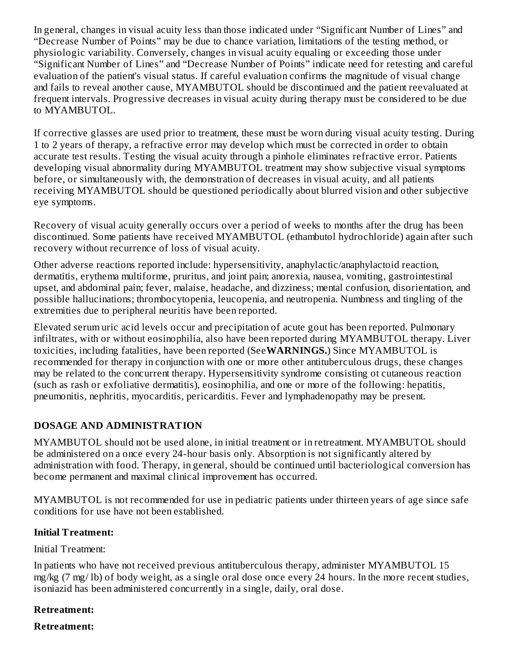In general, changes in visual acuity less than those indicated under "Significant Number of Lines" and "Decrease Number of Points" may be due to chance variation, limitations of the testing method, or physiologic variability. Conversely, changes in visual acuity equaling or exceeding those under "Significant Number of Lines" and "Decrease Number of Points" indicate need for retesting and careful evaluation of the patient's visual status. If careful evaluation confirms the magnitude of visual change and fails to reveal another cause, MYAMBUTOL should be discontinued and the patient reevaluated at frequent intervals. Progressive decreases in visual acuity during therapy must be considered to be due to MYAMBUTOL.

If corrective glasses are used prior to treatment, these must be worn during visual acuity testing. During 1 to 2 years of therapy, a refractive error may develop which must be corrected in order to obtain accurate test results. Testing the visual acuity through a pinhole eliminates refractive error. Patients developing visual abnormality during MYAMBUTOL treatment may show subjective visual symptoms before, or simultaneously with, the demonstration of decreases in visual acuity, and all patients receiving MYAMBUTOL should be questioned periodically about blurred vision and other subjective eye symptoms.

Recovery of visual acuity generally occurs over a period of weeks to months after the drug has been discontinued. Some patients have received MYAMBUTOL (ethambutol hydrochloride) again after such recovery without recurrence of loss of visual acuity.

Other adverse reactions reported include: hypersensitivity, anaphylactic/anaphylactoid reaction, dermatitis, erythema multiforme, pruritus, and joint pain; anorexia, nausea, vomiting, gastrointestinal upset, and abdominal pain; fever, malaise, headache, and dizziness; mental confusion, disorientation, and possible hallucinations; thrombocytopenia, leucopenia, and neutropenia. Numbness and tingling of the extremities due to peripheral neuritis have been reported.

Elevated serum uric acid levels occur and precipitation of acute gout has been reported. Pulmonary infiltrates, with or without eosinophilia, also have been reported during MYAMBUTOL therapy. Liver toxicities, including fatalities, have been reported (See**WARNINGS.**) Since MYAMBUTOL is recommended for therapy in conjunction with one or more other antituberculous drugs, these changes may be related to the concurrent therapy. Hypersensitivity syndrome consisting ot cutaneous reaction (such as rash or exfoliative dermatitis), eosinophilia, and one or more of the following: hepatitis, pneumonitis, nephritis, myocarditis, pericarditis. Fever and lymphadenopathy may be present.

# **DOSAGE AND ADMINISTRATION**

MYAMBUTOL should not be used alone, in initial treatment or in retreatment. MYAMBUTOL should be administered on a once every 24-hour basis only. Absorption is not significantly altered by administration with food. Therapy, in general, should be continued until bacteriological conversion has become permanent and maximal clinical improvement has occurred.

MYAMBUTOL is not recommended for use in pediatric patients under thirteen years of age since safe conditions for use have not been established.

#### **Initial Treatment:**

Initial Treatment:

In patients who have not received previous antituberculous therapy, administer MYAMBUTOL 15 mg/kg (7 mg/ lb) of body weight, as a single oral dose once every 24 hours. In the more recent studies, isoniazid has been administered concurrently in a single, daily, oral dose.

## **Retreatment:**

#### **Retreatment:**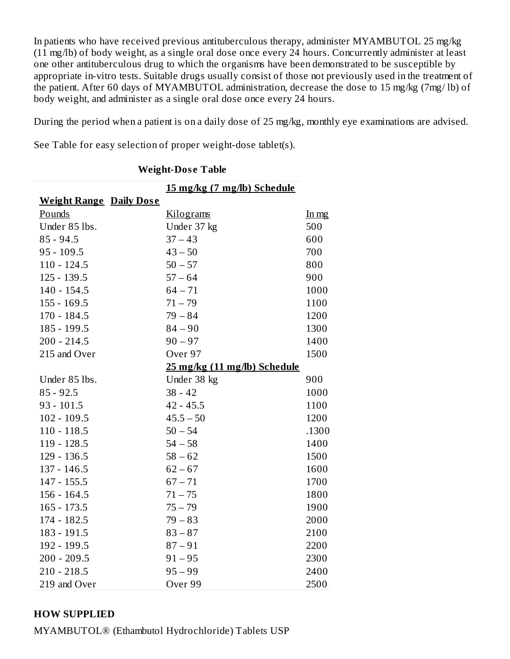In patients who have received previous antituberculous therapy, administer MYAMBUTOL 25 mg/kg (11 mg/lb) of body weight, as a single oral dose once every 24 hours. Concurrently administer at least one other antituberculous drug to which the organisms have been demonstrated to be susceptible by appropriate in-vitro tests. Suitable drugs usually consist of those not previously used in the treatment of the patient. After 60 days of MYAMBUTOL administration, decrease the dose to 15 mg/kg (7mg/ lb) of body weight, and administer as a single oral dose once every 24 hours.

During the period when a patient is on a daily dose of 25 mg/kg, monthly eye examinations are advised.

See Table for easy selection of proper weight-dose tablet(s).

|                                | 15 mg/kg (7 mg/lb) Schedule  |                 |
|--------------------------------|------------------------------|-----------------|
| <b>Weight Range Daily Dose</b> |                              |                 |
| Pounds                         | <b>Kilograms</b>             |                 |
| Under 85 lbs.                  | Under 37 kg                  | $\ln$ mg<br>500 |
| $85 - 94.5$                    | $37 - 43$                    | 600             |
| $95 - 109.5$                   | $43 - 50$                    | 700             |
| $110 - 124.5$                  | $50 - 57$                    | 800             |
|                                |                              |                 |
| $125 - 139.5$                  | $57 - 64$                    | 900             |
| $140 - 154.5$                  | $64 - 71$                    | 1000            |
| $155 - 169.5$                  | $71 - 79$                    | 1100            |
| $170 - 184.5$                  | $79 - 84$                    | 1200            |
| 185 - 199.5                    | $84 - 90$                    | 1300            |
| $200 - 214.5$                  | $90 - 97$                    | 1400            |
| 215 and Over                   | Over 97                      | 1500            |
|                                | 25 mg/kg (11 mg/lb) Schedule |                 |
| Under 85 lbs.                  | Under 38 kg                  | 900             |
| $85 - 92.5$                    | $38 - 42$                    | 1000            |
| $93 - 101.5$                   | $42 - 45.5$                  | 1100            |
| $102 - 109.5$                  | $45.5 - 50$                  | 1200            |
| $110 - 118.5$                  | $50 - 54$                    | .1300           |
| 119 - 128.5                    | $54 - 58$                    | 1400            |
| 129 - 136.5                    | $58 - 62$                    | 1500            |
| 137 - 146.5                    | $62 - 67$                    | 1600            |
| 147 - 155.5                    | $67 - 71$                    | 1700            |
| $156 - 164.5$                  | $71 - 75$                    | 1800            |
| $165 - 173.5$                  | $75 - 79$                    | 1900            |
| 174 - 182.5                    | $79 - 83$                    | 2000            |
| 183 - 191.5                    | $83 - 87$                    | 2100            |
| 192 - 199.5                    | $87 - 91$                    | 2200            |
| $200 - 209.5$                  | $91 - 95$                    | 2300            |
| $210 - 218.5$                  | $95 - 99$                    | 2400            |
| 219 and Over                   | Over 99                      | 2500            |

## **Weight-Dos e Table**

## **HOW SUPPLIED**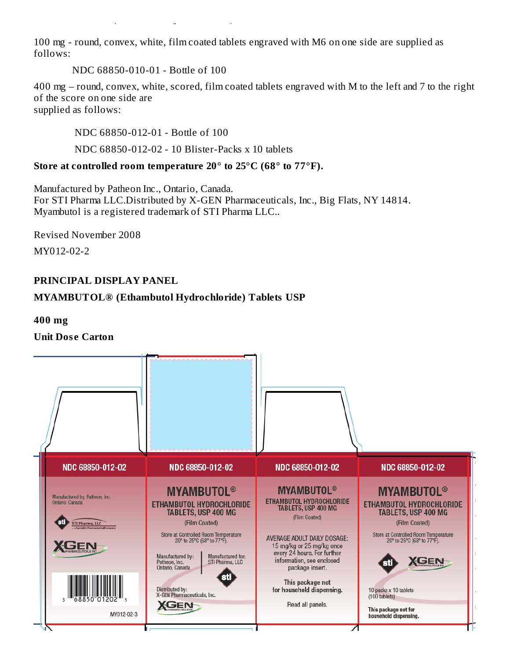100 mg - round, convex, white, film coated tablets engraved with M6 on one side are supplied as follows:

NDC 68850-010-01 - Bottle of 100

 $\mathcal{M}(\mathcal{M})$  and the set of the set of the set of the set of the set of the set of the set of the set of the set of the set of the set of the set of the set of the set of the set of the set of the set of the set of the

400 mg – round, convex, white, scored, film coated tablets engraved with M to the left and 7 to the right of the score on one side are supplied as follows:

NDC 68850-012-01 - Bottle of 100

NDC 68850-012-02 - 10 Blister-Packs x 10 tablets

## **Store at controlled room temperature 20° to 25°C (68° to 77°F).**

Manufactured by Patheon Inc., Ontario, Canada. For STI Pharma LLC.Distributed by X-GEN Pharmaceuticals, Inc., Big Flats, NY 14814. Myambutol is a registered trademark of STI Pharma LLC..

Revised November 2008

MY012-02-2

# **PRINCIPAL DISPLAY PANEL**

# **MYAMBUTOL® (Ethambutol Hydrochloride) Tablets USP**

## **400 mg**

**Unit Dos e Carton**

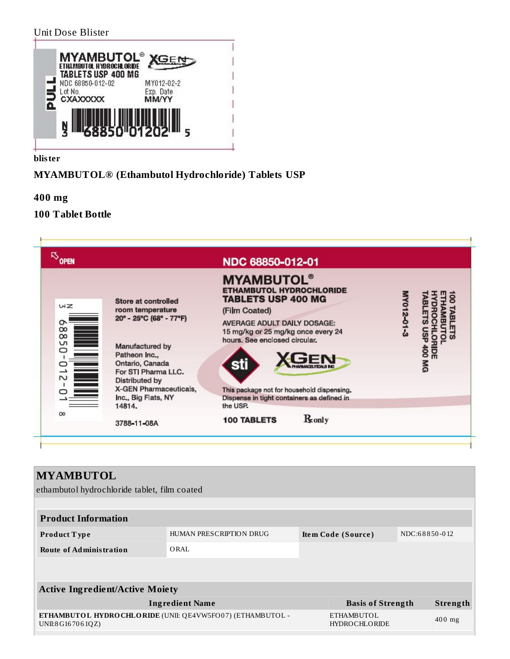#### Unit Dose Blister



#### **blister**

# **MYAMBUTOL® (Ethambutol Hydrochloride) Tablets USP**

#### **400 mg**

## **100 Tablet Bottle**

| <b>IS OPEN</b>                                                                                                                                                                                                                                                                                             | NDC 68850-012-01                                                                                                                                                                                                                                                                                                                            |                                            |
|------------------------------------------------------------------------------------------------------------------------------------------------------------------------------------------------------------------------------------------------------------------------------------------------------------|---------------------------------------------------------------------------------------------------------------------------------------------------------------------------------------------------------------------------------------------------------------------------------------------------------------------------------------------|--------------------------------------------|
| Store at controlled<br>WZ<br>room temperature<br>20° - 25°C (68° - 77°F)<br>$\circ$<br>$\infty$<br>$\infty$<br>U<br>Manufactured by<br>$\circ$<br>Patheon Inc.,<br>Ontario, Canada<br>o<br>For STI Pharma LLC.<br>$\sim$<br>Distributed by<br>X-GEN Pharmaceuticals,<br>0<br>Inc., Big Flats, NY<br>14814. | <b>MYAMBUTOL®</b><br><b>ETHAMBUTOL HYDROCHLORIDE</b><br><b>TABLETS USP 400 MG</b><br>Y012-01-3<br>(Film Coated)<br><b>AVERAGE ADULT DAILY DOSAGE:</b><br>15 mg/kg or 25 mg/kg once every 24<br>hours. See enclosed circular.<br>sti<br>This package not for household dispensing.<br>Dispense in tight containers as defined in<br>the USP. | <b>MBU</b><br>ဒ္ဓ<br><b>NIDE</b><br>400 MG |
| $\infty$<br>3788-11-08A                                                                                                                                                                                                                                                                                    | $R_{\text{only}}$<br><b>100 TABLETS</b>                                                                                                                                                                                                                                                                                                     |                                            |

| <b>MYAMBUTOL</b><br>ethambutol hydrochloride tablet, film coated                         |                         |  |                                           |               |          |
|------------------------------------------------------------------------------------------|-------------------------|--|-------------------------------------------|---------------|----------|
|                                                                                          |                         |  |                                           |               |          |
| <b>Product Information</b>                                                               |                         |  |                                           |               |          |
| Product Type                                                                             | HUMAN PRESCRIPTION DRUG |  | Item Code (Source)                        | NDC:68850-012 |          |
| <b>Route of Administration</b>                                                           | ORAL                    |  |                                           |               |          |
|                                                                                          |                         |  |                                           |               |          |
| <b>Active Ingredient/Active Moiety</b>                                                   |                         |  |                                           |               |          |
|                                                                                          | <b>Ingredient Name</b>  |  | <b>Basis of Strength</b>                  |               | Strength |
| <b>ETHAMBUTOL HYDROCHLORIDE (UNII: QE4VW5FO07) (ETHAMBUTOL -</b><br>UNII:8 G16 70 6 1QZ) |                         |  | <b>ETHAMBUTOL</b><br><b>HYDROCHLORIDE</b> |               | $400$ mg |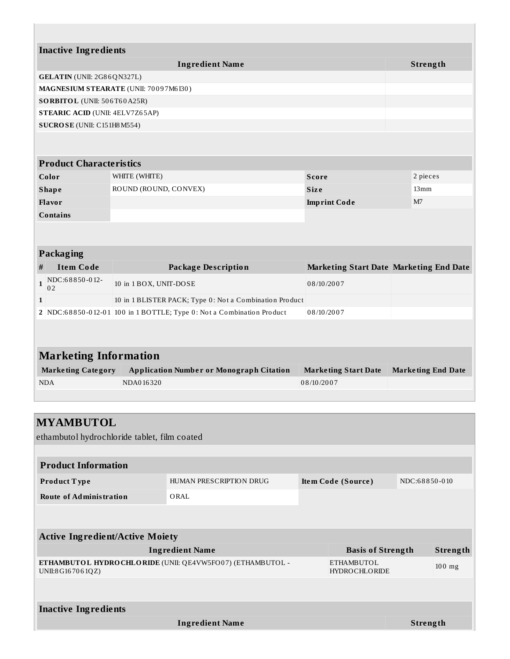|                              | <b>Inactive Ingredients</b>     |                                                                       |                                                |                           |  |  |  |
|------------------------------|---------------------------------|-----------------------------------------------------------------------|------------------------------------------------|---------------------------|--|--|--|
|                              |                                 |                                                                       | Strength                                       |                           |  |  |  |
|                              | GELATIN (UNII: 2G86QN327L)      |                                                                       |                                                |                           |  |  |  |
|                              |                                 | MAGNESIUM STEARATE (UNII: 70097M6I30)                                 |                                                |                           |  |  |  |
|                              | SORBITOL (UNII: 506T60A25R)     |                                                                       |                                                |                           |  |  |  |
|                              | STEARIC ACID (UNII: 4ELV7Z65AP) |                                                                       |                                                |                           |  |  |  |
|                              | SUCROSE (UNII: C151H8 M554)     |                                                                       |                                                |                           |  |  |  |
|                              |                                 |                                                                       |                                                |                           |  |  |  |
|                              | <b>Product Characteristics</b>  |                                                                       |                                                |                           |  |  |  |
|                              | Color                           | WHITE (WHITE)                                                         | <b>Score</b>                                   | 2 pieces                  |  |  |  |
|                              | <b>Shape</b>                    | ROUND (ROUND, CONVEX)<br><b>Size</b>                                  |                                                | 13mm                      |  |  |  |
|                              | Flavor<br><b>Imprint Code</b>   |                                                                       |                                                | M <sub>7</sub>            |  |  |  |
| <b>Contains</b>              |                                 |                                                                       |                                                |                           |  |  |  |
|                              |                                 |                                                                       |                                                |                           |  |  |  |
|                              | Packaging                       |                                                                       |                                                |                           |  |  |  |
| #                            | <b>Item Code</b>                | <b>Package Description</b>                                            | <b>Marketing Start Date Marketing End Date</b> |                           |  |  |  |
| $\mathbf 1$                  | NDC:68850-012-<br>02            | 10 in 1 BOX, UNIT-DOSE                                                | 08/10/2007                                     |                           |  |  |  |
| $\mathbf{1}$                 |                                 | 10 in 1 BLISTER PACK; Type 0: Not a Combination Product               |                                                |                           |  |  |  |
|                              |                                 | 2 NDC:68850-012-01 100 in 1 BOTTLE; Type 0: Not a Combination Product | 08/10/2007                                     |                           |  |  |  |
|                              |                                 |                                                                       |                                                |                           |  |  |  |
| <b>Marketing Information</b> |                                 |                                                                       |                                                |                           |  |  |  |
|                              | <b>Marketing Category</b>       | <b>Application Number or Monograph Citation</b>                       | <b>Marketing Start Date</b>                    | <b>Marketing End Date</b> |  |  |  |
|                              | <b>NDA</b>                      | NDA016320                                                             | 08/10/2007                                     |                           |  |  |  |
|                              |                                 |                                                                       |                                                |                           |  |  |  |
|                              |                                 |                                                                       |                                                |                           |  |  |  |

| <b>MYAMBUTOL</b>                                                                  |                         |  |                                    |                 |          |
|-----------------------------------------------------------------------------------|-------------------------|--|------------------------------------|-----------------|----------|
| ethambutol hydrochloride tablet, film coated                                      |                         |  |                                    |                 |          |
|                                                                                   |                         |  |                                    |                 |          |
| <b>Product Information</b>                                                        |                         |  |                                    |                 |          |
| <b>Product Type</b>                                                               | HUMAN PRESCRIPTION DRUG |  | Item Code (Source)                 | NDC:68850-010   |          |
| <b>Route of Administration</b>                                                    | ORAL                    |  |                                    |                 |          |
|                                                                                   |                         |  |                                    |                 |          |
|                                                                                   |                         |  |                                    |                 |          |
| <b>Active Ingredient/Active Moiety</b>                                            |                         |  |                                    |                 |          |
|                                                                                   | <b>Ingredient Name</b>  |  | <b>Basis of Strength</b>           |                 | Strength |
| ETHAMBUTOL HYDROCHLORIDE (UNII: QE4VW5FO07) (ETHAMBUTOL -<br>UNII:8 G16 70 6 1QZ) |                         |  | ETHAMBUTOL<br><b>HYDROCHLORIDE</b> |                 | $100$ mg |
|                                                                                   |                         |  |                                    |                 |          |
|                                                                                   |                         |  |                                    |                 |          |
| <b>Inactive Ingredients</b>                                                       |                         |  |                                    |                 |          |
|                                                                                   | <b>Ingredient Name</b>  |  |                                    | <b>Strength</b> |          |